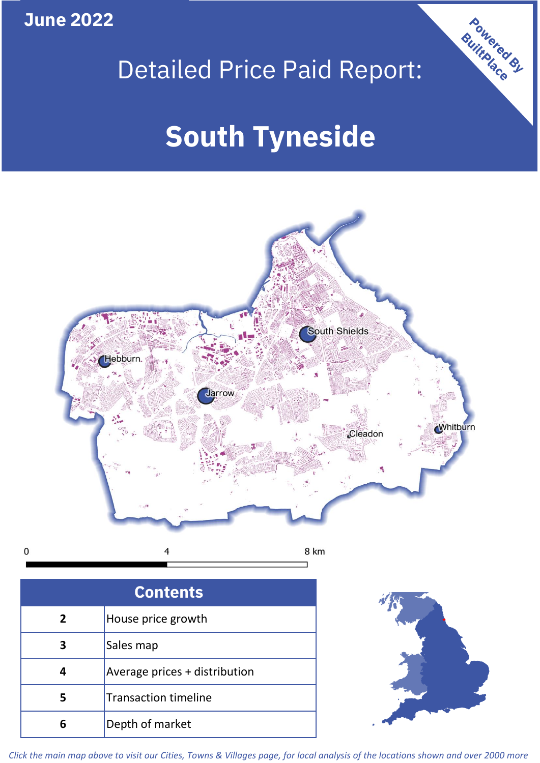**June 2022**





 $\mathbf 0$ 

| o |
|---|

| <b>Contents</b> |                               |  |  |  |
|-----------------|-------------------------------|--|--|--|
| $\overline{2}$  | House price growth            |  |  |  |
| З               | Sales map                     |  |  |  |
|                 | Average prices + distribution |  |  |  |
|                 | <b>Transaction timeline</b>   |  |  |  |
| 6               | Depth of market               |  |  |  |



*Click the main map above to visit our Cities, Towns & Villages page, for local analysis of the locations shown and over 2000 more*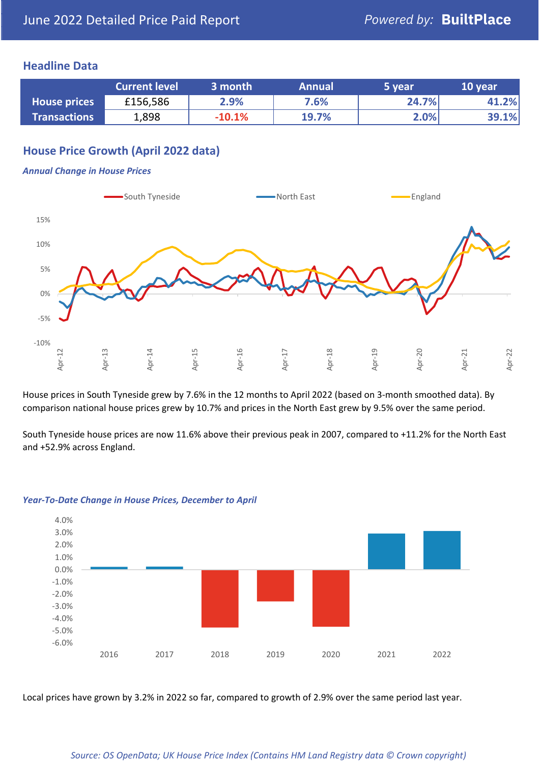### **Headline Data**

|                     | <b>Current level</b> | 3 month  | <b>Annual</b> | 5 year | 10 year |
|---------------------|----------------------|----------|---------------|--------|---------|
| <b>House prices</b> | £156,586             | 2.9%     | 7.6%          | 24.7%  | 41.2%   |
| <b>Transactions</b> | 1,898                | $-10.1%$ | 19.7%         | 2.0%   | 39.1%   |

# **House Price Growth (April 2022 data)**

#### *Annual Change in House Prices*



House prices in South Tyneside grew by 7.6% in the 12 months to April 2022 (based on 3-month smoothed data). By comparison national house prices grew by 10.7% and prices in the North East grew by 9.5% over the same period.

South Tyneside house prices are now 11.6% above their previous peak in 2007, compared to +11.2% for the North East and +52.9% across England.



#### *Year-To-Date Change in House Prices, December to April*

Local prices have grown by 3.2% in 2022 so far, compared to growth of 2.9% over the same period last year.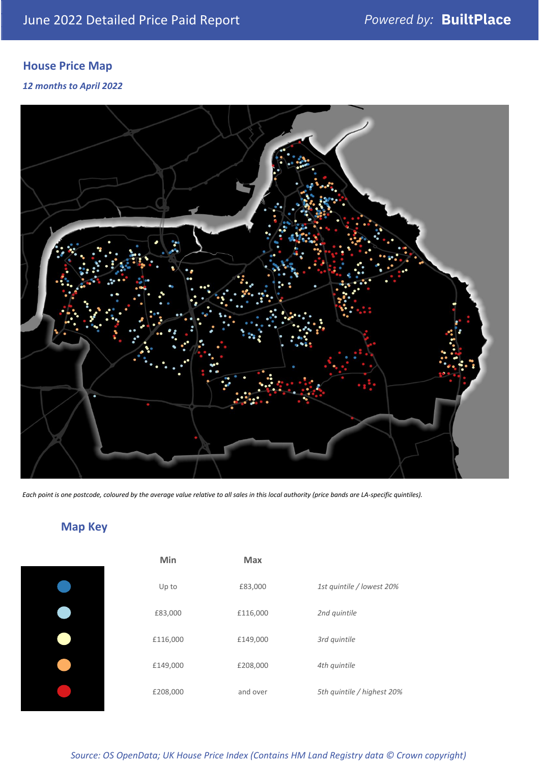# **House Price Map**

*12 months to April 2022*



*Each point is one postcode, coloured by the average value relative to all sales in this local authority (price bands are LA-specific quintiles).*

# **Map Key**

| Min      | <b>Max</b> |                            |
|----------|------------|----------------------------|
| Up to    | £83,000    | 1st quintile / lowest 20%  |
| £83,000  | £116,000   | 2nd quintile               |
| £116,000 | £149,000   | 3rd quintile               |
| £149,000 | £208,000   | 4th quintile               |
| £208,000 | and over   | 5th quintile / highest 20% |

*Source: OS OpenData; UK House Price Index (Contains HM Land Registry data © Crown copyright)*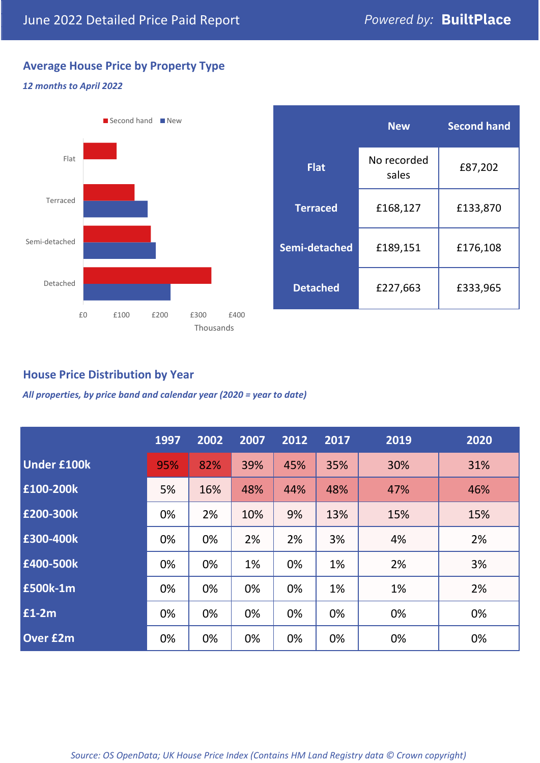# **Average House Price by Property Type**

#### *12 months to April 2022*



|                 | <b>New</b>           | <b>Second hand</b> |  |  |
|-----------------|----------------------|--------------------|--|--|
| <b>Flat</b>     | No recorded<br>sales | £87,202            |  |  |
| <b>Terraced</b> | £168,127             | £133,870           |  |  |
| Semi-detached   | £189,151             | £176,108           |  |  |
| <b>Detached</b> | £227,663             | £333,965           |  |  |

## **House Price Distribution by Year**

*All properties, by price band and calendar year (2020 = year to date)*

|                    | 1997 | 2002 | 2007 | 2012 | 2017 | 2019 | 2020 |
|--------------------|------|------|------|------|------|------|------|
| <b>Under £100k</b> | 95%  | 82%  | 39%  | 45%  | 35%  | 30%  | 31%  |
| £100-200k          | 5%   | 16%  | 48%  | 44%  | 48%  | 47%  | 46%  |
| £200-300k          | 0%   | 2%   | 10%  | 9%   | 13%  | 15%  | 15%  |
| E300-400k          | 0%   | 0%   | 2%   | 2%   | 3%   | 4%   | 2%   |
| £400-500k          | 0%   | 0%   | 1%   | 0%   | 1%   | 2%   | 3%   |
| <b>£500k-1m</b>    | 0%   | 0%   | 0%   | 0%   | 1%   | 1%   | 2%   |
| £1-2m              | 0%   | 0%   | 0%   | 0%   | 0%   | 0%   | 0%   |
| <b>Over £2m</b>    | 0%   | 0%   | 0%   | 0%   | 0%   | 0%   | 0%   |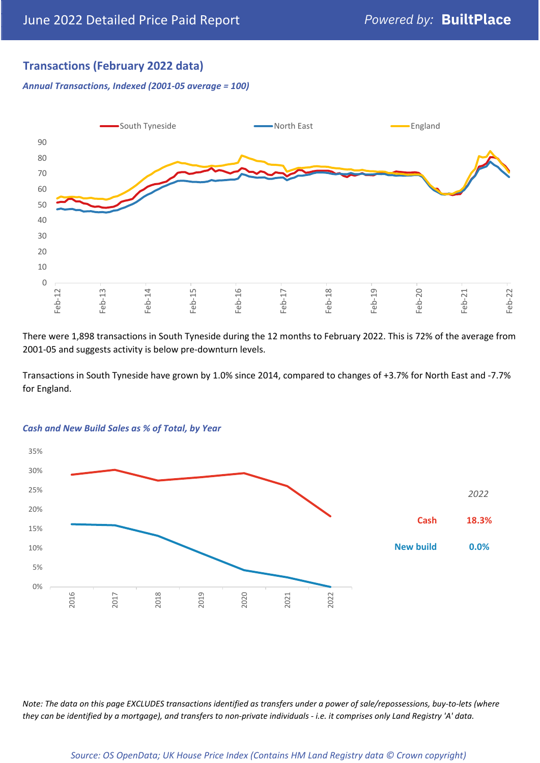# **Transactions (February 2022 data)**

*Annual Transactions, Indexed (2001-05 average = 100)*



There were 1,898 transactions in South Tyneside during the 12 months to February 2022. This is 72% of the average from 2001-05 and suggests activity is below pre-downturn levels.

Transactions in South Tyneside have grown by 1.0% since 2014, compared to changes of +3.7% for North East and -7.7% for England.



#### *Cash and New Build Sales as % of Total, by Year*

*Note: The data on this page EXCLUDES transactions identified as transfers under a power of sale/repossessions, buy-to-lets (where they can be identified by a mortgage), and transfers to non-private individuals - i.e. it comprises only Land Registry 'A' data.*